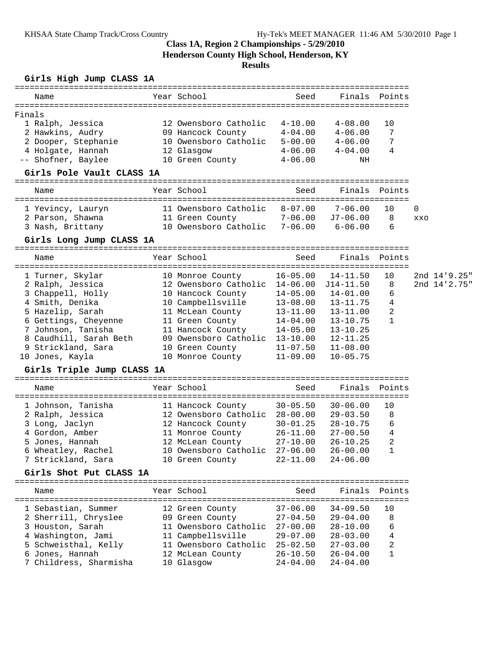### **Class 1A, Region 2 Championships - 5/29/2010 Henderson County High School, Henderson, KY**

# **Results**

### **Girls High Jump CLASS 1A**

| Name                                           | Year School                                                                | Seed         |              | Finals Points  |             |              |
|------------------------------------------------|----------------------------------------------------------------------------|--------------|--------------|----------------|-------------|--------------|
|                                                |                                                                            |              |              |                |             |              |
| Finals                                         |                                                                            |              |              |                |             |              |
| 1 Ralph, Jessica                               | 12 Owensboro Catholic 4-10.00                                              |              | $4 - 08.00$  | 10             |             |              |
| 2 Hawkins, Audry                               | 09 Hancock County 4-04.00                                                  |              | $4 - 06.00$  | 7              |             |              |
| 2 Dooper, Stephanie                            | 10 Owensboro Catholic 5-00.00                                              |              | $4 - 06.00$  | 7              |             |              |
| 4 Holgate, Hannah                              | 12 Glasgow                                                                 | $4 - 06.00$  | $4 - 04.00$  | 4              |             |              |
| -- Shofner, Baylee                             | 10 Green County                                                            | $4 - 06.00$  | NH           |                |             |              |
| Girls Pole Vault CLASS 1A                      |                                                                            |              |              |                |             |              |
| Name                                           | Year School                                                                | Seed         |              | Finals Points  |             |              |
| 1 Yevincy, Lauryn                              | 11 Owensboro Catholic 8-07.00 7-06.00                                      |              |              | 10             | $\mathbf 0$ |              |
| 2 Parson, Shawna 11 Green County 7-06.00       |                                                                            |              | J7-06.00     | 8              | XXO         |              |
| 3 Nash, Brittany                               | 10 Owensboro Catholic 7-06.00 6-06.00                                      |              |              | 6              |             |              |
| Girls Long Jump CLASS 1A                       |                                                                            |              |              |                |             |              |
| Name                                           | Year School                                                                | Seed         |              | Finals Points  |             |              |
|                                                |                                                                            |              |              |                |             |              |
| 1 Turner, Skylar                               | 10 Monroe County                                                           | $16 - 05.00$ | 14-11.50     | 10             |             | 2nd 14'9.25" |
| 2 Ralph, Jessica                               | 12 Owensboro Catholic 14-06.00 J14-11.50                                   |              |              | 8              |             | 2nd 14'2.75" |
| 3 Chappell, Holly<br><sup>1 Cmith</sup> Denika | 10 Hancock County 14-05.00 14-01.00<br>10 Campbellsville 13-08.00 13-11.75 |              |              | 6              |             |              |
|                                                |                                                                            |              |              | 4              |             |              |
| 5 Hazelip, Sarah                               | 11 McLean County 13-11.00                                                  |              | $13 - 11.00$ | 2              |             |              |
| 6 Gettings, Cheyenne                           | 11 Green County 14-04.00                                                   |              | $13 - 10.75$ | 1              |             |              |
| 7 Johnson, Tanisha                             | 11 Hancock County 14-05.00                                                 |              | $13 - 10.25$ |                |             |              |
| 8 Caudhill, Sarah Beth                         | 09 Owensboro Catholic 13-10.00                                             |              | 12-11.25     |                |             |              |
| 9 Strickland, Sara                             | 10 Green County 11-07.50<br>10 Monroe County 11-09.00                      |              | $11 - 08.00$ |                |             |              |
| 10 Jones, Kayla                                |                                                                            |              | $10 - 05.75$ |                |             |              |
| Girls Triple Jump CLASS 1A                     |                                                                            |              |              |                |             |              |
| Name                                           | Year School                                                                | Seed         | Finals       | Points         |             |              |
| 1 Johnson, Tanisha                             | 11 Hancock County 30-05.50                                                 |              | $30 - 06.00$ | 10             |             |              |
| 2 Ralph, Jessica                               | 12 Owensboro Catholic 28-00.00                                             |              | $29 - 03.50$ | 8              |             |              |
| 3 Long, Jaclyn                                 | 12 Hancock County 30-01.25                                                 |              | $28 - 10.75$ | 6              |             |              |
| 4 Gordon, Amber                                | 11 Monroe County 26-11.00                                                  |              | $27 - 00.50$ | 4              |             |              |
| 5 Jones, Hannah                                | 12 McLean County 27-10.00                                                  |              | $26 - 10.25$ | $\overline{c}$ |             |              |
| 6 Wheatley, Rachel                             | 10 Owensboro Catholic 27-06.00 26-00.00                                    |              |              | $1\,$          |             |              |
| 7 Strickland, Sara                             | 10 Green County                                                            | $22 - 11.00$ | $24 - 06.00$ |                |             |              |
| Girls Shot Put CLASS 1A                        |                                                                            |              |              |                |             |              |
| Name                                           | Year School                                                                | Seed         |              | Finals Points  |             |              |
| 1 Sebastian, Summer                            | 12 Green County                                                            | $37 - 06.00$ | $34 - 09.50$ | 10             |             |              |
| 2 Sherrill, Chryslee                           | 09 Green County 27-04.50                                                   |              | $29 - 04.00$ | 8              |             |              |
| 3 Houston, Sarah                               | 11 Owensboro Catholic 27-00.00                                             |              | $28 - 10.00$ | 6              |             |              |
| 4 Washington, Jami                             | 11 Campbellsville                                                          | $29 - 07.00$ | $28 - 03.00$ | 4              |             |              |
| 5 Schweisthal, Kelly                           | 11 Owensboro Catholic 25-02.50                                             |              | $27 - 03.00$ | 2              |             |              |
| 6 Jones, Hannah                                | 12 McLean County                                                           | $26 - 10.50$ | $26 - 04.00$ | $\mathbf{1}$   |             |              |
| 7 Childress, Sharmisha                         | 10 Glasgow                                                                 | $24 - 04.00$ | $24 - 04.00$ |                |             |              |
|                                                |                                                                            |              |              |                |             |              |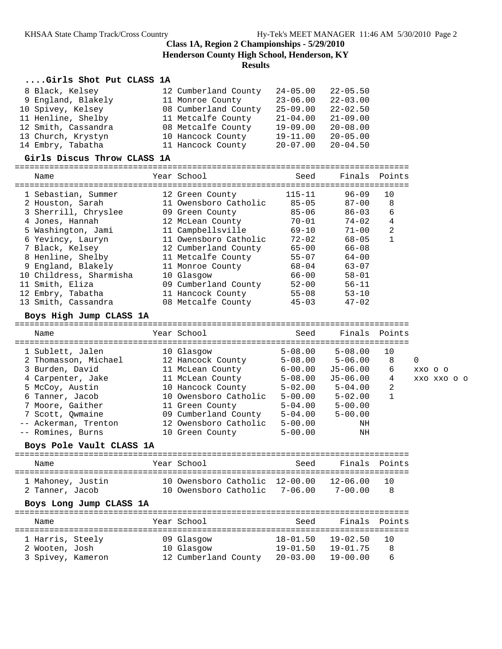### **Class 1A, Region 2 Championships - 5/29/2010 Henderson County High School, Henderson, KY Results**

### **....Girls Shot Put CLASS 1A**

| 8 Black, Kelsey     | 12 Cumberland County | $24 - 05.00$ | $22 - 05.50$ |
|---------------------|----------------------|--------------|--------------|
| 9 England, Blakely  | 11 Monroe County     | $23 - 06.00$ | $22 - 03.00$ |
| 10 Spivey, Kelsey   | 08 Cumberland County | $25 - 09.00$ | $22 - 02.50$ |
| 11 Henline, Shelby  | 11 Metcalfe County   | $21 - 04.00$ | $21 - 09.00$ |
| 12 Smith, Cassandra | 08 Metcalfe County   | $19 - 09.00$ | $20 - 08.00$ |
| 13 Church, Krystyn  | 10 Hancock County    | $19 - 11.00$ | $20 - 05.00$ |
| 14 Embry, Tabatha   | 11 Hancock County    | $20 - 07.00$ | $20 - 04.50$ |

#### **Girls Discus Throw CLASS 1A**

================================================================================

| Name                    | Year School           | Seed       | Finals    | Points         |
|-------------------------|-----------------------|------------|-----------|----------------|
| 1 Sebastian, Summer     | 12 Green County       | $115 - 11$ | $96 - 09$ | 10             |
| 2 Houston, Sarah        | 11 Owensboro Catholic | $85 - 05$  | $87 - 00$ | 8              |
| 3 Sherrill, Chryslee    | 09 Green County       | $85 - 06$  | $86 - 03$ | 6              |
| 4 Jones, Hannah         | 12 McLean County      | $70 - 01$  | $74 - 02$ | 4              |
| 5 Washington, Jami      | 11 Campbellsville     | $69 - 10$  | $71 - 00$ | $\overline{2}$ |
| 6 Yevincy, Lauryn       | 11 Owensboro Catholic | $72 - 02$  | $68 - 05$ |                |
| 7 Black, Kelsey         | 12 Cumberland County  | $65 - 00$  | $66 - 08$ |                |
| 8 Henline, Shelby       | 11 Metcalfe County    | $55 - 07$  | $64 - 00$ |                |
| 9 England, Blakely      | 11 Monroe County      | $68 - 04$  | $63 - 07$ |                |
| 10 Childress, Sharmisha | 10 Glasgow            | $66 - 00$  | $58 - 01$ |                |
| 11 Smith, Eliza         | 09 Cumberland County  | $52 - 00$  | $56 - 11$ |                |
| 12 Embry, Tabatha       | 11 Hancock County     | $55 - 08$  | $53 - 10$ |                |
| 13 Smith, Cassandra     | 08 Metcalfe County    | $45 - 03$  | $47 - 02$ |                |

#### **Boys High Jump CLASS 1A**

================================================================================ Name Year School Seed Finals Points ================================================================================ 1 Sublett, Jalen 10 Glasgow 5-08.00 5-08.00 10 2 Thomasson, Michael 12 Hancock County 5-08.00 5-06.00 8 0 3 Burden, David 11 McLean County 6-00.00 J5-06.00 6 xxo o o 4 Carpenter, Jake 11 McLean County 5-08.00 J5-06.00 4 xxo xxo o o 5 McCoy, Austin 10 Hancock County 5-02.00 5-04.00 2 6 Tanner, Jacob 10 Owensboro Catholic 5-00.00 5-02.00 1 7 Moore, Gaither 11 Green County 5-04.00 5-00.00 7 Scott, Qwmaine 09 Cumberland County 5-04.00 5-00.00 -- Ackerman, Trenton 12 Owensboro Catholic 5-00.00 NH -- Romines, Burns 10 Green County 5-00.00 NH

### **Boys Pole Vault CLASS 1A**

| Name                                 |                         | Year School                                                     | Seed | Finals Points               |             |
|--------------------------------------|-------------------------|-----------------------------------------------------------------|------|-----------------------------|-------------|
| 1 Mahoney, Justin<br>2 Tanner, Jacob | Boys Long Jump CLASS 1A | 10 Owensboro Catholic 12-00.00<br>10 Owensboro Catholic 7-06.00 |      | $12 - 06.00$<br>$7 - 00.00$ | - 10<br>- 8 |
|                                      |                         |                                                                 |      |                             |             |
| Name                                 |                         | Year School                                                     | Seed | Finals                      | Points      |

| --------          |                      |                   |              |       |
|-------------------|----------------------|-------------------|--------------|-------|
|                   |                      |                   |              |       |
| 1 Harris, Steely  | 09 Glasgow           | 18-01.50          | 19-02.50     | - 1 N |
| 2 Wooten, Josh    | 10 Glasgow           | 19-01.50          | $19 - 01.75$ | - 8   |
| 3 Spivey, Kameron | 12 Cumberland County | 20-03.00 19-00.00 |              | -6    |
|                   |                      |                   |              |       |